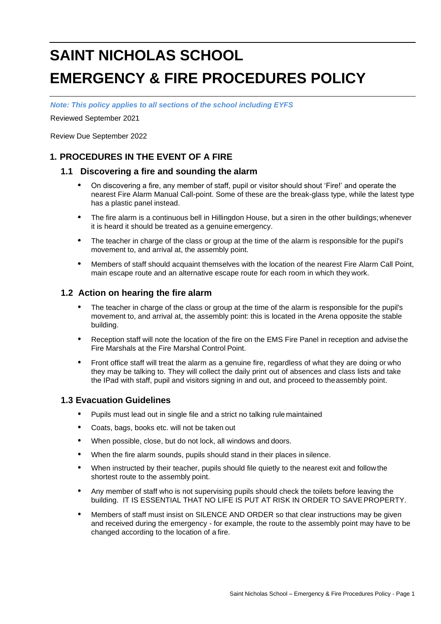# **SAINT NICHOLAS SCHOOL EMERGENCY & FIRE PROCEDURES POLICY**

*Note: This policy applies to all sections of the school including EYFS*

Reviewed September 2021

Review Due September 2022

# **1. PROCEDURES IN THE EVENT OF A FIRE**

# **1.1 Discovering a fire and sounding the alarm**

- **•** On discovering a fire, any member of staff, pupil or visitor should shout 'Fire!' and operate the nearest Fire Alarm Manual Call-point. Some of these are the break-glass type, while the latest type has a plastic panel instead.
- **•** The fire alarm is a continuous bell in Hillingdon House, but a siren in the other buildings;whenever it is heard it should be treated as a genuine emergency.
- **•** The teacher in charge of the class or group at the time of the alarm is responsible for the pupil's movement to, and arrival at, the assembly point.
- **•** Members of staff should acquaint themselves with the location of the nearest Fire Alarm Call Point, main escape route and an alternative escape route for each room in which they work.

# **1.2 Action on hearing the fire alarm**

- **•** The teacher in charge of the class or group at the time of the alarm is responsible for the pupil's movement to, and arrival at, the assembly point: this is located in the Arena opposite the stable building.
- **•** Reception staff will note the location of the fire on the EMS Fire Panel in reception and advisethe Fire Marshals at the Fire Marshal Control Point.
- **•** Front office staff will treat the alarm as a genuine fire, regardless of what they are doing or who they may be talking to. They will collect the daily print out of absences and class lists and take the IPad with staff, pupil and visitors signing in and out, and proceed to theassembly point.

## **1.3 Evacuation Guidelines**

- **•** Pupils must lead out in single file and a strict no talking rule maintained
- **•** Coats, bags, books etc. will not be taken out
- **•** When possible, close, but do not lock, all windows and doors.
- **•** When the fire alarm sounds, pupils should stand in their places in silence.
- **•** When instructed by their teacher, pupils should file quietly to the nearest exit and followthe shortest route to the assembly point.
- **•** Any member of staff who is not supervising pupils should check the toilets before leaving the building. IT IS ESSENTIAL THAT NO LIFE IS PUT AT RISK IN ORDER TO SAVEPROPERTY.
- **•** Members of staff must insist on SILENCE AND ORDER so that clear instructions may be given and received during the emergency - for example, the route to the assembly point may have to be changed according to the location of a fire.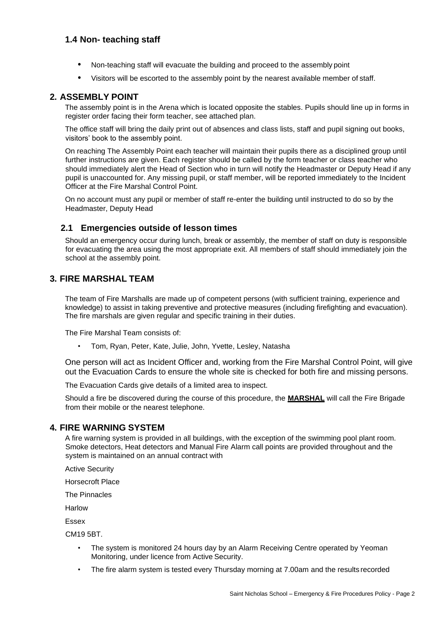# **1.4 Non- teaching staff**

- **•** Non-teaching staff will evacuate the building and proceed to the assembly point
- **•** Visitors will be escorted to the assembly point by the nearest available member of staff.

#### **2. ASSEMBLY POINT**

The assembly point is in the Arena which is located opposite the stables. Pupils should line up in forms in register order facing their form teacher, see attached plan.

The office staff will bring the daily print out of absences and class lists, staff and pupil signing out books, visitors' book to the assembly point.

On reaching The Assembly Point each teacher will maintain their pupils there as a disciplined group until further instructions are given. Each register should be called by the form teacher or class teacher who should immediately alert the Head of Section who in turn will notify the Headmaster or Deputy Head if any pupil is unaccounted for. Any missing pupil, or staff member, will be reported immediately to the Incident Officer at the Fire Marshal Control Point.

On no account must any pupil or member of staff re-enter the building until instructed to do so by the Headmaster, Deputy Head

## **2.1 Emergencies outside of lesson times**

Should an emergency occur during lunch, break or assembly, the member of staff on duty is responsible for evacuating the area using the most appropriate exit. All members of staff should immediately join the school at the assembly point.

# **3. FIRE MARSHAL TEAM**

The team of Fire Marshalls are made up of competent persons (with sufficient training, experience and knowledge) to assist in taking preventive and protective measures (including firefighting and evacuation). The fire marshals are given regular and specific training in their duties.

The Fire Marshal Team consists of:

• Tom, Ryan, Peter, Kate, Julie, John, Yvette, Lesley, Natasha

One person will act as Incident Officer and, working from the Fire Marshal Control Point, will give out the Evacuation Cards to ensure the whole site is checked for both fire and missing persons.

The Evacuation Cards give details of a limited area to inspect.

Should a fire be discovered during the course of this procedure, the **MARSHAL** will call the Fire Brigade from their mobile or the nearest telephone.

# **4. FIRE WARNING SYSTEM**

A fire warning system is provided in all buildings, with the exception of the swimming pool plant room. Smoke detectors, Heat detectors and Manual Fire Alarm call points are provided throughout and the system is maintained on an annual contract with

Active Security

Horsecroft Place

The Pinnacles

Harlow

Essex

CM19 5BT.

- The system is monitored 24 hours day by an Alarm Receiving Centre operated by Yeoman Monitoring, under licence from Active Security.
- The fire alarm system is tested every Thursday morning at 7.00am and the results recorded